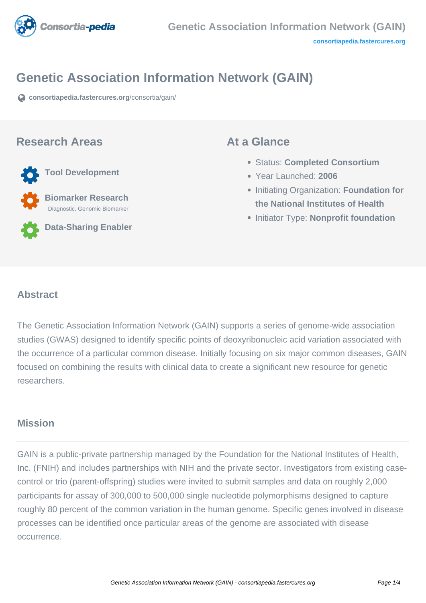

# **Genetic Association Information Network (GAIN)**

**[consortiapedia.fastercures.org](https://consortiapedia.fastercures.org/consortia/gain/)**[/consortia/gain/](https://consortiapedia.fastercures.org/consortia/gain/)

#### **Research Areas**

**Tool Development**

 **Biomarker Research** Diagnostic, Genomic Biomarker

**Data-Sharing Enabler**

#### **At a Glance**

- Status: **Completed Consortium**
- Year Launched: **2006**
- **Initiating Organization: Foundation for the National Institutes of Health**
- **Initiator Type: Nonprofit foundation**

#### $\overline{a}$ **Abstract**

The Genetic Association Information Network (GAIN) supports a series of genome-wide association studies (GWAS) designed to identify specific points of deoxyribonucleic acid variation associated with the occurrence of a particular common disease. Initially focusing on six major common diseases, GAIN focused on combining the results with clinical data to create a significant new resource for genetic researchers.

#### **Mission**

GAIN is a public-private partnership managed by the Foundation for the National Institutes of Health, Inc. (FNIH) and includes partnerships with NIH and the private sector. Investigators from existing casecontrol or trio (parent-offspring) studies were invited to submit samples and data on roughly 2,000 participants for assay of 300,000 to 500,000 single nucleotide polymorphisms designed to capture roughly 80 percent of the common variation in the human genome. Specific genes involved in disease processes can be identified once particular areas of the genome are associated with disease occurrence.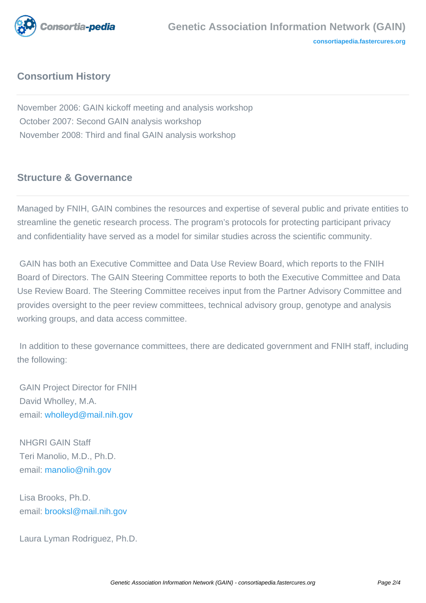

## **Consortium History**

November 2006: GAIN kickoff meeting and analysis workshop October 2007: Second GAIN analysis workshop November 2008: Third and final GAIN analysis workshop

# **Structure & Governance**

Managed by FNIH, GAIN combines the resources and expertise of several public and private entities to streamline the genetic research process. The program's protocols for protecting participant privacy and confidentiality have served as a model for similar studies across the scientific community.

 GAIN has both an Executive Committee and Data Use Review Board, which reports to the FNIH Board of Directors. The GAIN Steering Committee reports to both the Executive Committee and Data Use Review Board. The Steering Committee receives input from the Partner Advisory Committee and provides oversight to the peer review committees, technical advisory group, genotype and analysis working groups, and data access committee.

 In addition to these governance committees, there are dedicated government and FNIH staff, including the following:

 GAIN Project Director for FNIH David Wholley, M.A. email: [wholleyd@mail.nih.gov](mailto:wholleyd@mail.nih.gov)

 NHGRI GAIN Staff Teri Manolio, M.D., Ph.D. email: [manolio@nih.gov](mailto:manolio@nih.gov)

 Lisa Brooks, Ph.D. email: [brooksl@mail.nih.gov](mailto:brooksl@mail.nih.gov)

Laura Lyman Rodriguez, Ph.D.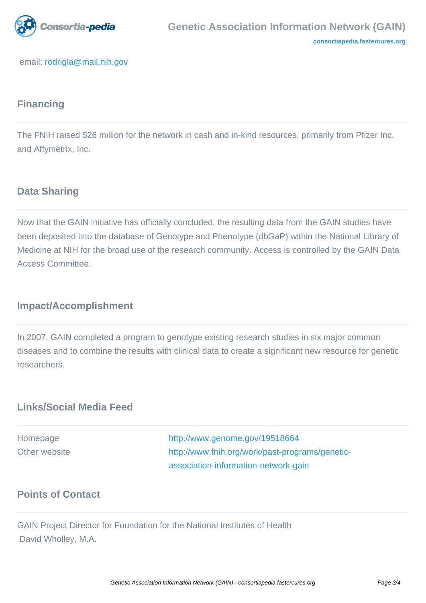

email: [rodrigla@mail.nih.gov](mailto:rodrigla@mail.nih.gov)

# **Financing**

The FNIH raised \$26 million for the network in cash and in-kind resources, primarily from Pfizer Inc. and Affymetrix, Inc.

## **Data Sharing**

Now that the GAIN initiative has officially concluded, the resulting data from the GAIN studies have been deposited into the database of Genotype and Phenotype (dbGaP) within the National Library of Medicine at NIH for the broad use of the research community. Access is controlled by the GAIN Data Access Committee.

## **Impact/Accomplishment**

In 2007, GAIN completed a program to genotype existing research studies in six major common diseases and to combine the results with clinical data to create a significant new resource for genetic researchers.

#### **Links/Social Media Feed**

| Homepage      | http://www.genome.gov/19518664                  |
|---------------|-------------------------------------------------|
| Other website | http://www.fnih.org/work/past-programs/genetic- |
|               | association-information-network-gain            |

#### **Points of Contact**

GAIN Project Director for Foundation for the National Institutes of Health David Wholley, M.A.